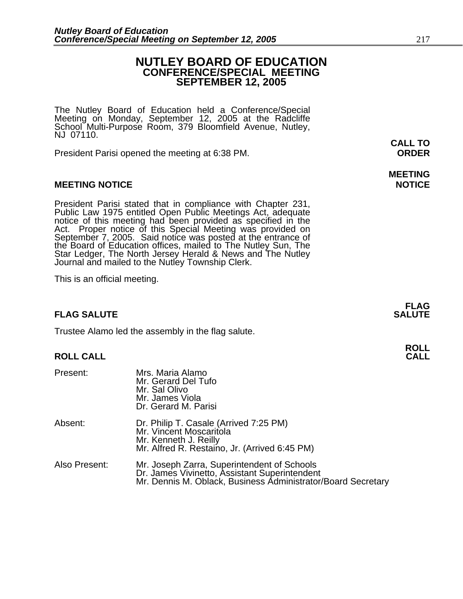### **NUTLEY BOARD OF EDUCATION CONFERENCE/SPECIAL MEETING SEPTEMBER 12, 2005**

The Nutley Board of Education held a Conference/Special Meeting on Monday, September 12, 2005 at the Radcliffe School Multi-Purpose Room, 379 Bloomfield Avenue, Nutley, NJ 07110.

President Parisi opened the meeting at 6:38 PM. **ORDER**

#### **MEETING NOTICE NOTICE REPORTS AND ALCOHOL**

President Parisi stated that in compliance with Chapter 231,<br>Public Law 1975 entitled Open Public Meetings Act, adequate<br>notice of this meeting had been provided as specified in the<br>Act. Proper notice of this Special Meeti

This is an official meeting.

#### **FLAG SALUTE SALUTE SALUTE**

Trustee Alamo led the assembly in the flag salute.

#### **ROLL CALL**

| Present:      | Mrs. Maria Alamo<br>Mr. Gerard Del Tufo<br>Mr. Sal Olivo<br>Mr. James Viola<br>Dr. Gerard M. Parisi                                                          |
|---------------|--------------------------------------------------------------------------------------------------------------------------------------------------------------|
| Absent:       | Dr. Philip T. Casale (Arrived 7:25 PM)<br>Mr. Vincent Moscaritola<br>Mr. Kenneth J. Reilly<br>Mr. Alfred R. Restaino, Jr. (Arrived 6:45 PM)                  |
| Also Present: | Mr. Joseph Zarra, Superintendent of Schools<br>Dr. James Vivinetto, Assistant Superintendent<br>Mr. Dennis M. Oblack, Business Administrator/Board Secretary |

**CALL TO** 

## **MEETING**

**FLAG**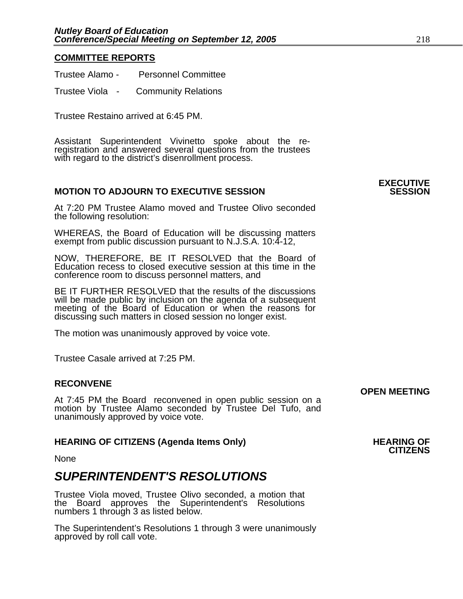#### **COMMITTEE REPORTS**

| Trustee Alamo -      | <b>Personnel Committee</b> |
|----------------------|----------------------------|
| <b>Trustee Viola</b> | <b>Community Relations</b> |

Trustee Restaino arrived at 6:45 PM.

Assistant Superintendent Vivinetto spoke about the re-<br>registration and answered several questions from the trustees<br>with regard to the district's disenrollment process.

#### **MOTION TO ADJOURN TO EXECUTIVE SESSION**

At 7:20 PM Trustee Alamo moved and Trustee Olivo seconded the following resolution:

WHEREAS, the Board of Education will be discussing matters exempt from public discussion pursuant to N.J.S.A. 10:4-12,

NOW, THEREFORE, BE IT RESOLVED that the Board of Education recess to closed executive session at this time in the conference room to discuss personnel matters, and

BE IT FURTHER RESOLVED that the results of the discussions will be made public by inclusion on the agenda of a subsequent meeting of the Board of Education or when the reasons for discussing such matters in closed session no longer exist.

The motion was unanimously approved by voice vote.

Trustee Casale arrived at 7:25 PM.

#### **RECONVENE**

**OPEN MEETING**<br>At 7:45 PM the Board reconvened in open public session on a motion by Trustee Alamo seconded by Trustee Del Tufo, and unanimously approved by voice vote.

## **HEARING OF CITIZENS (Agenda Items Only) HEARING OF CITIZENS**

None

## *SUPERINTENDENT'S RESOLUTIONS*

Trustee Viola moved, Trustee Olivo seconded, a motion that the Board approves the Superintendent's Resolutions numbers 1 through 3 as listed below.

The Superintendent's Resolutions 1 through 3 were unanimously approved by roll call vote.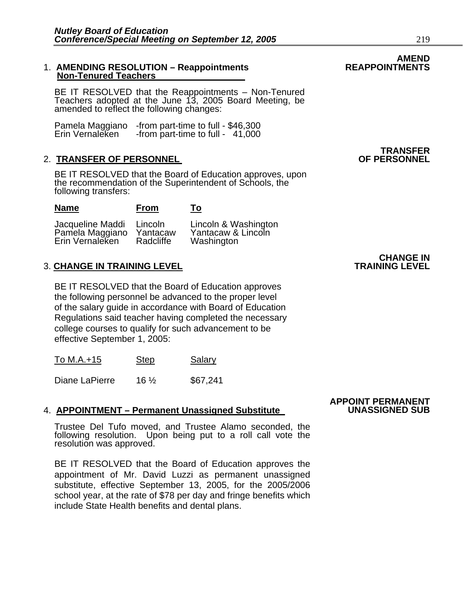#### 1. **AMENDING RESOLUTION – Reappointments Non-Tenured Teachers**

BE IT RESOLVED that the Reappointments – Non-Tenured Teachers adopted at the June 13, 2005 Board Meeting, be amended to reflect the following changes:

Pamela Maggiano -from part-time to full - \$46,300 Erin Vernaleken - from part-time to full - 41,000

### **2. TRANSFER OF PERSONNEL**

**Name From To**

BE IT RESOLVED that the Board of Education approves, upon the recommendation of the Superintendent of Schools, the following transfers:

Jacqueline Maddi Lincoln Lincoln & Washington<br>Pamela Maggiano Yantacaw Yantacaw & Lincoln Yantacaw Yantacaw & Lincoln<br>Radcliffe Washington Erin Vernaleken Radcliffe Washington

#### **3. CHANGE IN TRAINING LEVEL**

BE IT RESOLVED that the Board of Education approves the following personnel be advanced to the proper level of the salary guide in accordance with Board of Education Regulations said teacher having completed the necessary college courses to qualify for such advancement to be effective September 1, 2005:

To M.A.+15 Step Salary

Diane LaPierre 16 <sup>1</sup>/<sub>2</sub> \$67,241

#### 4. **APPOINTMENT – Permanent Unassigned Substitute**

Trustee Del Tufo moved, and Trustee Alamo seconded, the following resolution. Upon being put to a roll call vote the resolution was approved.

BE IT RESOLVED that the Board of Education approves the appointment of Mr. David Luzzi as permanent unassigned substitute, effective September 13, 2005, for the 2005/2006 school year, at the rate of \$78 per day and fringe benefits which include State Health benefits and dental plans.

**CHANGE IN<br>TRAINING LEVEL** 

**TRANSFER<br>OF PERSONNEL** 

**APPOINT PERMANENT**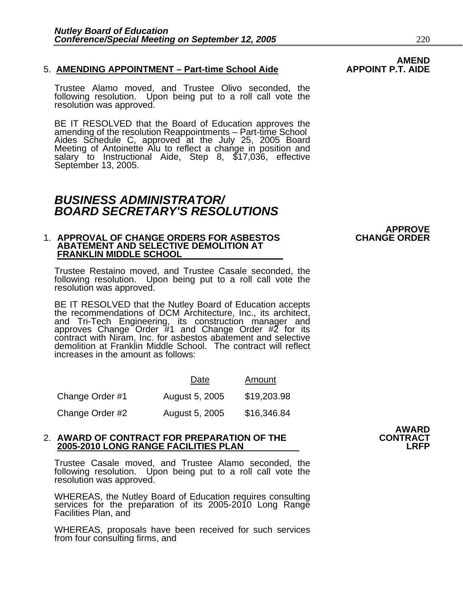#### 5. **AMENDING APPOINTMENT – Part-time School Aide**

Trustee Alamo moved, and Trustee Olivo seconded, the following resolution. Upon being put to a roll call vote the resolution was approved.

BE IT RESOLVED that the Board of Education approves the amending of the resolution Reappointments – Part-time School Aides Schedule C, approved at the July 25, 2005 Board Meeting of Antoinette Alu to reflect a change in po

### *BUSINESS ADMINISTRATOR/ BOARD SECRETARY'S RESOLUTIONS*

#### 1. **APPROVAL OF CHANGE ORDERS FOR ASBESTOS CHANGE ORDER ABATEMENT AND SELECTIVE DEMOLITION AT FRANKLIN MIDDLE SCHOOL**

Trustee Restaino moved, and Trustee Casale seconded, the following resolution. Upon being put to a roll call vote the resolution was approved.

BE IT RESOLVED that the Nutley Board of Education accepts the recommendations of DCM Architecture, Inc., its architect, and Tri-Tech Engineering, its construction manager and approves Change Order #1 and Change Order #2 for its contract with Niram, Inc. for asbestos abatement and selective demolition at Franklin Middle School. The contract will reflect increases in the amount as follows:

|                 | Date           | Amount      |
|-----------------|----------------|-------------|
| Change Order #1 | August 5, 2005 | \$19,203.98 |
| Change Order #2 | August 5, 2005 | \$16,346.84 |

#### 2. **AWARD OF CONTRACT FOR PREPARATION OF THE CONTRACT 2005-2010 LONG RANGE FACILITIES PLAN**

Trustee Casale moved, and Trustee Alamo seconded, the following resolution. Upon being put to a roll call vote the resolution was approved.

WHEREAS, the Nutley Board of Education requires consulting services for the preparation of its 2005-2010 Long Range Facilities Plan, and

WHEREAS, proposals have been received for such services from four consulting firms, and

# AWARD<br>CONTRACT

**APPROVE**